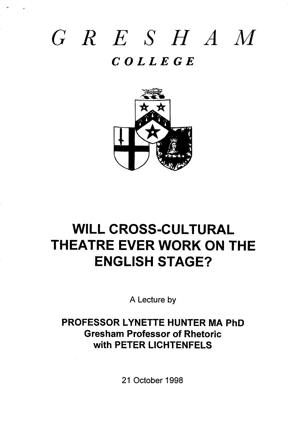# *GRE SHAM COLLEGE*

,.

,



## **WILL CROSS-CULTURAL THEATRE EVER WORK ON THE ENGLISH STAGE?**

**A Lecture by**

## **PROFESSOR LYNETTE HUNTER MA PhD Gresham Professor of Rhetoric with PETER LICHTENFELS**

**21 October 1998**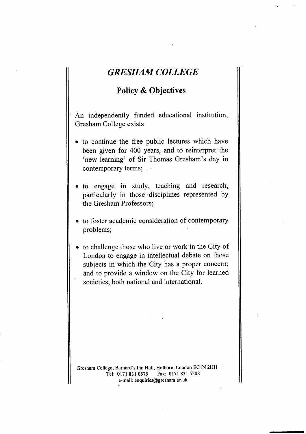## **GRESHAM COLLEGE**

### **Policy & Objectives**

An independently finded educational institution, Gresham College exists

- to continue the free public lectures which have been given for 400 years, and to reinterpret the 'new learning' of Sir Thomas Gresham's day in contemporary terms;  $, \cdot$
- to engage in study, teaching and research, particularly in those disciplines represented by the Gresham Professors;
- to foster academic consideration of contemporary problems;
- to challenge those who live or work in the City of London to engage in intellectual debate on those subjects in which the City has a proper concern; and to provide a window on the City for learned societies, both national and international.

Gresham College, Barnard's Inn Hall, Holborn, London EC IN 2HH<br>Tel: 0171 831 0575 Fax: 0171 831 5208 Tel: 0171 831 0575 e-mail: enquiries@gresham. ac.uk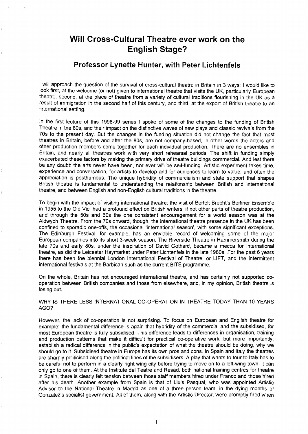## **Will Cross-Cultural Theatre ever work on the English Stage?**

,

#### **Professor Lynette Hunter, with Peter Lichtenfels**

I will approach the question of the survival of cross-cultural theatre in Britain in 3 ways: I would like to look first, at the welcome (or not) given to international theatre that visits the UK, particularly European theatre, second, at the place of theatre from a variety of cultural traditions flourishing in the UK as a result of immigration in the second half of this century, and third, at the export of British theatre to an international setting.

In the first lecture of this 1998-99 series I spoke of some of the changes to the funding of British Theatre in the 80s, and their impact on the distinctive waves of new plays and classic revivals from the 70s to the present day. But the changes in the funding situation did not change the fact that most theatres in Britain, before and after the 80s, are not company-based, in other words the actors and other production members come together for each individual production. There are no ensembles in Britain, and nearly all theatres work with very short rehearsal periods. The shift in funding simply exacerbated these factors by making the primary drive of theatre buildings commercial. And lest there be any doubt: the arts never have been, nor ever will be self-funding. Artistic experiment takes time, experience and conversation, for artists to develop and for audiences to learn to value, and often the appreciation is posthumous. The unique hybridity of commercialism and state support that shapes British theatre is fundamental to understanding the relationship between British and international theatre, and between English and non-English cultural traditions in the theatre.

To begin with the impact of visiting international theatre: the visit of Bertolt Brechfs Berliner Ensemble in 1955 to the Old Vic, had a profound effect on British writers, if not other parts of theatre production, and through the 50s and 60s the one consistent encouragement for a world season was at the Aldwych Theatre. From the 70s onward, though, the international theatre presence in the UK has been confined to sporadic one-offs, the occasional 'international season', with some significant exceptions. The Edinburgh Festival, for example, has an enviable record of welcoming some of the major European companies into its short 3-week season. The Riverside Theatre in Hammersmith during the late 70s and early 80s, under the inspiration of David Gothard, became a mecca for international theatre, as did the Leicester Haymarket under Peter Lichtenfels in the late 1980s. For the past 6 years there has been the biennial London International Festival of Theatre, or LIFT, and the intermittent international festivals at the Barbican such as the current BITE programme.

On the whole, Britain has not encouraged international theatre, and has certainly not supported cooperation between British companies and those from elsewhere, and, in my opinion, British theatre is losing out.

#### WHY IS THERE LESS INTERNATIONAL CO-OPERATION IN THEATRE TODAY THAN 10 YEARS AGO?

However, the lack of co-operation is not surprising. To focus on European and English theatre for example: the fundamental difference is again that hybridity of the commercial and the subsidised, for most European theatre is fully subsidised. This difference leads to differences in organisation, training and production patterns that make it difficult for practical co-operative work, but more importantly, establish a radical difference in the public's expectation of what the theatre should be doing, why we should go to it. Subsidised theatre in Europe has its own pros and cons. In Spain and Italy the theatres are sharply politicised along the political lines of the subsidisers. A play that wants to tour to Italy has to be careful not to perform in a clearly right wing city before trying to move on to a left-wing town, it can only go to one of them. At the Institute del Teatre and Resad, both national training centres for theatre in Spain, there is clearly felt tension between those staff members hired under Franco and those hired after his death. Another example from Spain is that of Lluis Pasqual, who was appointed Artistic Advisor to the National Theatre in Madrid as one of a three person team, in the dying months of Gonzalez's socialist government. All of them, along with the Artistic Director, were promptly fired when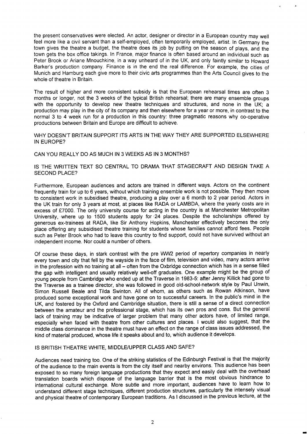the present conservatives were elected. An actor, designer or director in a European country may well feel more like a civil servant than a self-employed, often temporarily employed, artist. In Germany the town gives the theatre a budget, the theatre does its job by putting on the season of plays, and the town gets the box office takings. In France, major finance is ofien based around an individual such as Peter Brook or Ariane Mnouchkine, in a way unheard of in the UK, and only faintly similar to Howard Barker's production company. Finance is in the end the real difference. For example, the cities of Munich and Hamburg each give more to their civic arts programmes than the Arts Council gives to the whole of theatre in Britain.

,,

The result of higher and more consistent subsidy is that the European rehearsal times are often 3 months or longer, not the 3 weeks of the typical British rehearsal; there are many ensemble groups with the opportunity to develop new theatre techniques and structures, and none in the UK; a production may play in the city of its company and then elsewhere for a year or more, in contrast to the normal 3 to 4 week run for a production in this country: three pragmatic reasons why co-operative productions between Britain and Europe are difficult to achieve.

WHY DOESN'T BRITAIN SUPPORT ITS ARTS IN THE WAY THEY ARE SUPPORTED ELSEWHERE IN EUROPE?

CAN YOU REALLY DO AS MUCH IN 3 WEEKS AS IN 3 MONTHS?

IS THE WRITTEN TEXT SO CENTRAL TO DRAMA THAT STAGECRAFT AND DESIGN TAKE A SECOND PLACE?

Furthermore, European audiences and actors are trained in different ways. Actors on the continent frequently train for up to 6 years, without which training ensemble work is not possible. They then move to consistent work in subsidised theatre, producing a play over a 6 month to 2 year period. Actors in the UK train for only 3 years at most, at places like RADA or LAMBDA, where the yearly costs are in excess of £7000. The only university course for acting in the country is at Manchester Metropolitan University, where up to 1500 students apply for 24 places. Despite the scholarships offered by generous ex-trainees at RADA, like Sir Anthony Hopkins, Manchester effectively becomes the only place offering any subsidised theatre training for students whose families cannot afford fees. People such as Peter Brook who had to leave this country to find support, could not have survived without an independent income. Nor could a number of others.

Of course these days, in stark contrast with the pre WW2 period of repertory companies in nearly every town and city that fell by the wayside in the face of film, television and video, many actors arrive in the profession with no training at all - often from the Oxbridge connection which has in a sense filled the gap with intelligent and usually relatively well-off graduates. One example might be the group of young people from Cambridge who ended up at the Traverse in 1983-5: after Jenny Killick had gone to the Traverse as a trainee director, she was followed in good old-school-network style by Paul Unwin, Simon Russell Beale and Tilda Swinton. All of whom, as others such as Rowan Atkinson, have produced some exceptional work and have gone on to successful careers. In the public's mind in the UK, and fostered by the Oxford and Cambridge situation, there is still a sense of a direct connection between the amateur and the professional stage, which has its own pros and cons. But the general lack of training may be indicative of larger problem that many other actors have, of limited range, especially when faced with theatre from other cultures and places. I would also suggest, that the middle class dominance in the theatre must have an effect on the range of class issues addressed, the kind of material produced, whose life it speaks about and to, which audience it develops.

#### IS BRITISH THEATRE WHITE, MIDDLE/UPPER CLASS AND SAFE?

Audiences need training too. One of the striking statistics of the Edinburgh Festival is that the majority of the audience to the main events is from the city itself and nearby environs. This audience has been exposed to so many foreign language productions that they expect and easily deal with the overhead translation boards which dispose of the language barrier that is the most obvious hindrance to international cultural exchange. More subtle and more important, audiences have to learn how to understand different stage techniques, different production structures, particularly the intensely visual and physical theatre of contemporary European traditions. As i discussed in the previous lecture, at the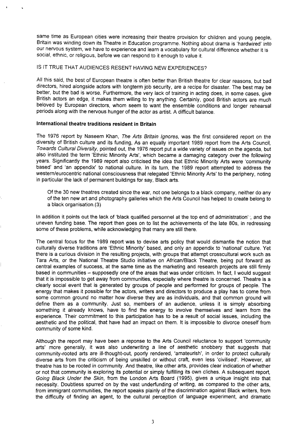same time as European cities were increasing their theatre provision for children and young people, Britain was winding down its Theatre in Education programme. Nothing about drama is 'hardwired' into our nervous system, we have to experience and learn a vocabulary for cultural difference whether it is social, ethnic, or religious, before we can respond to it enough to value it,

#### IS IT TRUE THAT AUDIENCES RESENT HAVING NEW EXPERIENCES?

All this said, the best of European theatre is often better than British theatre for clear reasons, but bad directors, hired alongside actors with Iongterm job security, are a recipe for disaster. The best may be better, but the bad is worse. Furthermore, the very lack of training in acting does, in some cases, give British actors an edge, it makes them willing to try anything. Certainly, good British actors are much beloved by European directors, whom seem to want the ensemble conditions and longer rehearsal periods along with the nervous hunger of the actor as artist. A difficult balance.

#### **International theatre traditions resident in Britain**

, ,,

The 1976 report by Naseem Khan, The Arts Britain Ignores, was the first considered report on the diversity of British culture and its funding, As an equally important 1989 report from the Arts Council, Towards Cultural Diversity, pointed out, the 1976 report put a wide variety of issues on the agenda, but also instituted the term 'Ethnic Minority Arts', which became a damaging category over the following years. Significantly the 1989 report also criticised the idea that Ethnic Minority Arts were 'community based' and 'an appendix' to national culture. In its turn, the 1989 report attempted to address the western/eurocentric national consciousness that relegated 'Ethnic Minority Arts' to the periphery, noting in particular the lack of permanent buildings for say, Black arts.

Of the **30** new theatres created since the war, not one belongs to a black company, neither do any of the ten new art and photography galleries which the Arts Council has helped to create belong to a black organisation.(3)

In addition it points out the lack of 'black qualified personnel at the top end of administration'; and the uneven funding base. The report then goes on to list the achievements of the late 80s, in redressing some of these problems, while acknowledging that many are still there.

The central focus for the 1989 report was to devise arts policy that would dismantle the notion that culturally diverse traditions are 'Ethnic Minority' based, and only an appendix to 'national' culture. Yet there is a curious division in the resulting projects, with groups that attempt crosscultural work such as Tara Arts, or the National Theatre Studio initiative on African/Black Theatre, being put forward as central examples of success, at the same time as the marketing and research projects are still firmly based in communities - supposedly one of the areas that was under criticism. In fact, I would suggest that it is impossible to get away from communities, especially where theatre is concerned. Theatre is a clearly social event that is generated by groups of people and performed for groups of people. The energy that makes it possible for the actors, writers and directors to produce a play has to come from some common ground no matter how diverse they are as individuals, and that common ground will define them as a community. Just so, members of an audience, unless it is simply absorbing something it already knows, have to find the energy to involve themselves and learn from the experience. Their commitment to this participation has to be a result of social issues, including the aesthetic and the political, that have had an impact on them. It is impossible to divorce oneself from community of some kind.

Although the report may have been a reponse to the Arts Council reluctance to support 'community atis' more generally, it was also underwriting a line of aesthetic snobbery that suggests that community-rooted arts are ill-thought-out, poorly rendered, 'amateurish', in order to protect culturally diverse arts from the criticism of being unskilled or without craft, even less 'civilised'. However, all theatre has to be rooted in community. And theatre, like other arts, provides clear indication of whether or not that community is exploring its potential or simply fulfilling its own cliches. A subsequent report, Going Black Under the Skin, from the London Arts Board (1995), gives a unique insight into that necessity. Doubtless spurred on by the vast underfunding of writing, as compared to the other arts, from immigrant communities, the report speaks plainly of the discrimination against Black writers, from the difficulty of finding an agent, to the cultural perception of language experiment, and dramatic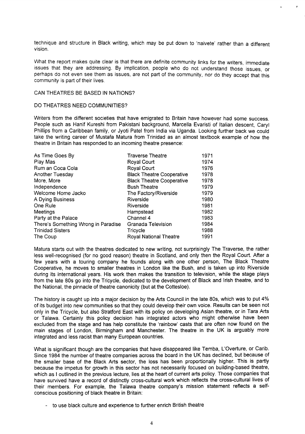technique and structure in Black writing, which may be put down to 'naivete' rather than a different vision.

,,

What the report makes quite clear is that there are definite community links for the writers, immediate issues that they are addressing, By implication, people who do not understand those issues, or perhaps do not even see them as issues, are not part of the community, nor do they accept that this community is part of their lives,

#### CAN THEATRES BE BASED IN NATIONS?

#### DO THEATRES NEED COMMUNITIES?

Writers from the different societies that have emigrated to Britain have however had some success. People such as Hanif Kureshi from Pakistani background, Marceila Evaristi of Italian descent, Caryl Phillips from a Caribbean family, or Jyoti Patel from India via Uganda. Looking further back we could take the writing career of Mustafa Matura from Trinidad as an almost textbook example of how the theatre in Britain has responded to an incoming theatre presence:

| As Time Goes By                     | <b>Traverse Theatre</b>          | 1971 |
|-------------------------------------|----------------------------------|------|
| Play Mas                            | Royal Court                      | 1974 |
| Rum an Coca Cola                    | Royal Court                      | 1976 |
| Another Tuesday                     | <b>Black Theatre Cooperative</b> | 1978 |
| More, More                          | <b>Black Theatre Cooperative</b> | 1978 |
| Independence                        | <b>Bush Theatre</b>              | 1979 |
| Welcome Home Jacko                  | The Factory/Riverside            | 1979 |
| A Dying Business                    | Riverside                        | 1980 |
| One Rule                            | Riverside                        | 1981 |
| Meetings                            | Hampstead                        | 1982 |
| Party at the Palace                 | Channel 4                        | 1983 |
| There's Something Wrong in Paradise | Granada Television               | 1984 |
| <b>Trinidad Sisters</b>             | Tricycle                         | 1988 |
| The Coup                            | Royal National Theatre           | 1991 |

Matura starts out with the theatres dedicated to new writing, not surprisingly The Traverse, the rather less well-recognised (for no good reason) theatre in Scotland, and only then the Royal Court. After a few years with a touring company he founds along with one other person, The Black Theatre Cooperative, he moves to smaller theatres in London like the Bush, and is taken up into Riverside during its international years. His work then makes the transition to television, while the stage plays from the late 80s go into the Tricycle, dedicated to the development of Black and Irish theatre, and to the National, the pinnacle of theatre canonicity (but at the Cottesloe).

The history is caught up into a major decision by the Arts Council in the late 80s, which was to put **4%** of its budget into new communities so that they could develop their own voice. Results can be seen not only in the Tricycle, but also Stratford East with its policy on developing Asian theatre, or in Tara Arts or Talawa. Certainly this policy decision has integrated actors who might otherwise have been excluded from the stage and has help constitute the 'rainbow' casts that are often now found on the main stages of London, Birmingham and Manchester. The theatre in the UK is arguably more integrated and less racist than many European countries.

What is significant though are the companies that have disappeared like Temba, L'Overture, or Carib. Since 1984 the number of theatre companies across the board in the UK has declined, but because of the smaller base of the Black Arts sector, the loss has been proportionally higher. This is partly because the impetus for growth in this sector has not necessarily focused on building-based theatre, which as I outlined in the previous lecture, lies at the heart of current arts policy. Those companies that have survived have a record of distinctly cross-cultural work which reflects the cross-cultural lives of their members. For example, the Talawa theatre company's mission statement reflects a selfconscious positioning of black theatre in Britain:

- to use black culture and experience to further enrich British theatre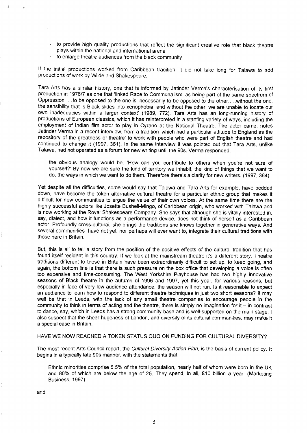- to provide high quality productions that reflect the significant creative role that black theatre plays within the national and international arena
- to enlarge theatre audiences from the black community

If the initial productions worked from Caribbean tradition, it did not take long for Talawa to add productions of work by Wilde and Shakespeare.

Tara Arts has a similar history, one that is informed by Jatinder Verma's characterisation of its first production in 1976/7 as one that 'linked Race to Communalism, as being part of the same spectrum of Oppression, ... to be opposed to the one is, necessarily to be opposed to the other.....without the one, the sensibility that is Black slides into xenophobia; and without the other, we are unable to locate our own inadequacies within a larger context' (1989, 772). Tara Arts has an long-running history of productions of European classics, which it has reinterpreted in a startling variety of ways, including the employment of Indian film actor to play in Cyrano at the National Theatre. The actor came, notes Jatinder Verma in a recent interview, from a tradition 'which had a particular attitude to England as the repository of the greatness of theatre' to work with people who were part of English theatre and had continued to change it (1997, 361). In the same interview it was pointed out that Tara Arts, unlike Talawa, had not operated as a forum for new writing until the 90s. Verma responded,

the obvious analogy would be, 'How can you contribute to others when you're not sure of yourself?' By now we are sure the kind of territory we inhabit, the kind of things that we want to do, the ways in which we want to do them. Therefore there's a clarity for new writers. (1997, 364)

Yet despite all the difficulties, some would say that Talawa and Tara Arts for example, have bedded down, have become the token alternative cultural theatre for a particular ethnic group that makes it difficult for new communities to argue the value of their own voices. At the same time there are the highly successful actors like Josette Bushell-Mingo, of Caribbean origin, who worked with Talawa and is now working at the Royal Shakespeare Company. She says that although she is vitally interested in, say, dialect, and how it functions as a performance device, does not think of herself as a Caribbean actor. Profoundly cross-cultural, she brings the traditions she knows together in generative ways. And several communities have not yet, nor perhaps will ever want to, integrate their cultural traditions with those here in Britain.

But, this is all to tell a story from the position of the positive effects of the cultural tradition that has found itself resident in this country. If we look at the mainstream theatre it's a different story. Theatre traditions different to those in Britain have been extraordinarily difficult to set up, to keep going, and again, the botiom line is that there is such pressure on the box office that developing a voice is often too expensive and time-consuming. The West Yorkshire Playhouse has had two highly innovative seasons of Black theatre in the autumn of 1996 and 1997, yet this year, for various reasons, but especially in face of very low audience attendance, the season will not run. Is it reasonable to expect an audience to learn how to respond to different theatre techniques in just two short seasons? It may well be that in Leeds, with the lack of any small theatre companies to encourage people in the community to think in terms of acting and the theatre, there is simply no imagination for it – in contrast to dance, say, which in Leeds has a strong community base and is well-supported on the main stage. I also suspect that the sheer hugeness of London, and diversity of its cultural communities, may make it a special case in Britain.

#### HAVE WE NOW REACHED A TOKEN STATUS QUO ON FUNDING FOR CULTURAL DIVERSITY?

The most recent Arts Council report, the Cultural Diversity Action Plan, is the basis of current policy. It begins in a typically late 90s manner, with the statements that

Ethnic minorities comprise 5.5% of the total population, nearly half of whom were born in the UK and 80% of which are below the age of 25. They spend, in all,  $£10$  billion a year. (Marketing Business, 1997)

and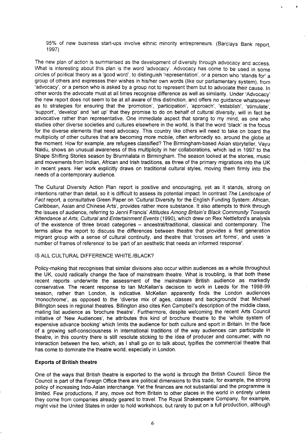95% of new business start-ups involve ethnic minority entrepreneurs. (Barclays Bank report. 1997)

 $\theta$ 

The new plan of action is summarised as the development of diversity through advocacy and access, What is interesting about this plan is the word 'advocacy'. Advocacy has come to be used in some circles of political theory as a 'good word', to distinguish 'representation', or a person who 'stands for' a group of others and expresses their wishes in his/her own words (like our parliamentary system), from 'advocacy', or a person who is asked by a group not to represent them but to advocate their cause. In other words the advocate must at all times recognise difference as well as similarity. Under 'Advocacy' the new report does not seem to be at all aware of this distinction, and offers no guidance whatsoever as to strategies for ensuring that the 'promotion', 'participation', 'approach', 'establish', 'stimulate', 'suppoti, 'develop' and 'set up' that they promise to do on behalf of cultural diversity, will in fact be advocative rather than representative. One immediate aspect that sprang to my mind, as one who studies other diverse societies and cultures elsewhere in the world, is that the word 'black' is the focus for the diverse elements that need advocacy. This country like others will need to take on board the multiplicity of other cultures that are becoming more mobile, often enforcedly so, around the globe at the moment. How for example, are refugees classified? The Birmingham-based Asian storyteller, Vayu Naidu, shows an unusual awareness of this multiplicity in her collaborations, which led in 1997 to the Shape Shifting Stories season by Brumhalata in Birmingham. The season looked at the stories, music and movements from Indian, African and Irish traditions, as three of the primary migrations into the UK in recent years. Her work explicitly draws on traditional cultural styles, moving them firmly into the needs of a contemporary audience.

The Cultural Diversity Action Plan report is positive and encouraging, yet as it stands, strong on intentions rather than detail, so it is difficult to assess its potential impact. In contrast The Landscape of Fact report, a consultative Green Paper on 'Cultural Diversity for the English Funding System: African, Caribbean, Asian and Chinese Arts', provides rather more substance. It also attempts to think through the issues of audience, referring to Jenni Francis' Attitudes Among Britain's Black Community Towards -Attendance at Arts; Cultural and Entertainment Events (1990), which drew on Rex Nettleford's analysis of the existence of three broad categories – ancestral/traditional, classical and contemporary. The terms allow the report to discuss the differences between theatre that provides a first generation migrant group with a sense of cultural continuity, and theatre that 'crosses art forms', and uses 'a number of frames of reference' to be 'part of an aesthetic that needs an informed response'.

#### IS ALL CULTURAL DIFFERENCE WHITE. /BLACK?

Policy-making that recognises that similar divisions also occur within audiences as a whole throughout the UK, could radically change the face of mainstream theatre. What is troubling, is that both these recent reports underwrite the assessment of the mainstream British audience as markedly conservative. The recent response to Ian McKellan's decision to work in Leeds for the 1998-99 season, rather than London, is indicative. McKellan apparently finds the London audiences 'monochrome', as opposed to the 'diverse mix of ages, classes and backgrounds' that Michael Billington sees in regional theatres. Billington also cites Ken Campbell's description of the middle class, mailing list audience as 'brochure theatre'. Furthermore, despite welcoming the recent Arts Council initiative of 'New Audiences', he attributes this kind of brochure theatre to the 'whole system of expensive advance booking' which limits the audience for both culture and sport in Britain. In the face of a growing self-consciousness in international traditions of the way audiences can participate in theatre, in this country there is still resolute sticking to the idea of producer and consumer, with no interaction between the two, which, as I shall go on to talk about, typifies the commercial theatre that has come to dominate the theatre world, especially in London.

#### **Expotis of British theatre**

One of the ways that British theatre is exported to the world is through the British Council. Since the Council is part of the Foreign Office there are political dimensions to this trade, for example, the strong policy of increasing lndo-Asian interchange. Yet the finances are not substantial and the programme is limited. Few productions, if any, move out from Britain to other places in the world in entirety unless they come from companies already geared to travel. The Royal Shakespeare Company, for example, might visit the United States in order to hold workshops, but rarely to put on a full production, although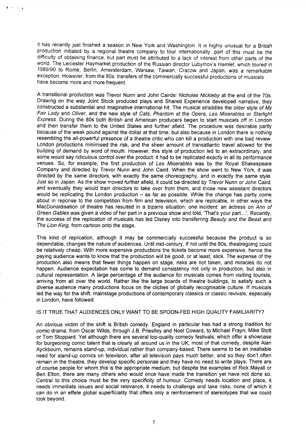it has recently just finished a season in New York and Washington. It is highly unusual for a British production initiated by a regional theatre company to tour internationally: part of this must be the difficulty of obtaining finance, but part must be attributed to a lack of interest from other parts of the world. The Leicester Haymarket production of the Russian director Lubymov's Hamlet, which toured in 1989/90 to Rome, Berlin, Amersterdam, Warsaw, Taiwan, Cracow and Japan, was a remarkable exception. However, from the 80s, transfers of the commercially successful productions of musicals have become more and more frequent.

A transitional production was Trevor Nunn and John Cairds' Nicholas Nickleby at the end of the 70s. Drawing on the way Joint Stock produced plays and Shared Experience developed narrative, they constructed a substantial and imaginative international hit. The musical straddles the older style of My Fair Lady and Oliver, and the new style of Cats, Phantom at the Opera, Les Miserables or Starlight Express. During the 80s both British and American producers began to start musicals off in London and then transfer them to the United States and further afield. The procedure was desirable partly because of the weak pound against the dollar at that time, but also because in London there is nothing resembling the all-powerful presence of a theatre critic who can kill a production with one bad review. London productions minimised the risk, and the sheer amount of transatlantic travel allowed for the building of demand by word of mouth. However, this style of production led to an extraordinary, and some would say ridiculous control over the product: it had to be replicated exactly in all its performance venues. So, for example, the first production of Les Miserables was by the Royal Shakespeare Company and directed by Trevor Nunn and John Caird. When the show went to New York, it was directed by the same directors, with exactly the same choreography, and in exactly the same style. Just so in Japan. As the show moved further afield, it could be directed by Trevor Nunn or John Caird, and eventually they would train directors to take over from them, and those new assistant directors would be replicating the London production  $-$  as far as possible. While the change has partly come about in reponse to the competition from film and television, which are replicable, in other ways the MacDonaldisation of theatre has resulted in a bizarre situation: one incident: an actress on Ann of Green Gables was given a video of her part in a previous show and told, 'That's your part...'. Recently, the success of the replication of musicals has led Disney into transferring Beauty and the Beast and The Lion King, from cartoon onto the stage.

This kind of replication, although it may be commercially successful because the product is so dependable, changes the nature of audiences. Until mid-century, if not until the 80s, theatregoing could be relatively cheap. With more expensive productions the tickets become more expensive, hence the paying audience wants to know that the production will be good, or at least, slick. The expense of the production also means that fewer things happen on stage, risks are not taken, and miracles do not happen. Audience expectation has come to demand consistency not only in production, but also in cultural representation. A large percentage of the audience for musicals comes from visiting tourists, arriving from all over the world. Rather like the large boards of theatre buildings, to satisfy such a diverse audience many productions focus on the cliches of globally recognizable culture. If musicals led the way for the shift, mainstage productions of contemporary classics or classic revivals, especially in London, have followed.

#### IS IT TRUE THAT AUDIENCES ONLY WANT TO BE SPOON-FED HIGH QUALITY FAMILIARITY?

An obvious victim of the shift is British comedy. England in particular has had a strong tradition for comic drama, from Oscar Wilde, through J.B. Priestley and Noel Coward, to Michael Frayn, Mike Stott or Tom Stoppard. Yet although there are several top-quality comedy festivals, which offer a showcase for burgeoning comic talent that is clearly all around us in the UK, most of that comedy, despite Alan Ayckbourn, remains stand-up, individual rather than company-based. There seems to be an insatiable need for stand-up comics on television, after all television pays much better, and so they don't often remain in the theatre, they develop specific personae and they have no need to write plays. There are of course people for whom this is the appropriate medium, but despite the examples of Rick Mayall or Ben Elton, there are many others who would once have made the transition yet have not done so. Central to this choice must be the very specificity of humour. Comedy needs location and place, it needs immediate issues and social relevance, it needs to challenge and take risks, none of which it can do in an effete global superficiality that offers only a reinforcement of stereotypes that we could look beyond.